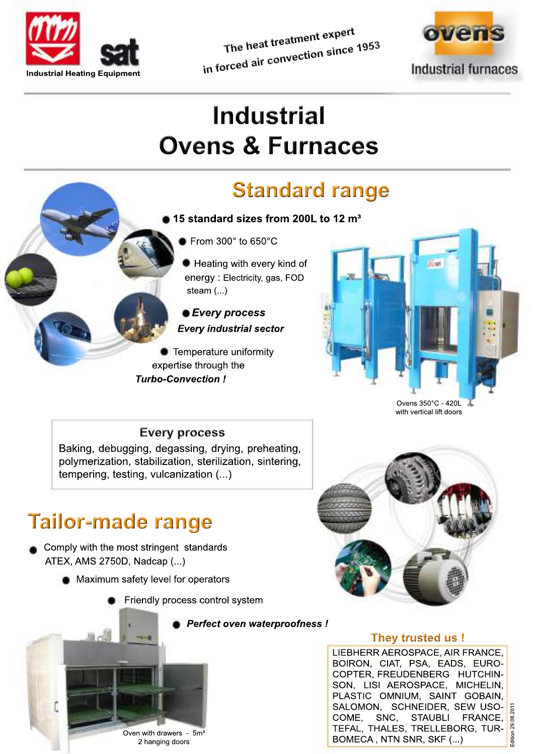

The heat treatment expert in forced air convection since 1953



# **Industrial Ovens & Furnaces**

## **Standard range**

- $\blacksquare$  15 standard sizes from 200L to 12 m<sup>3</sup>
	- From  $300^\circ$  to  $650^\circ$ C

Heating with every kind of energy: Electricity, gas, FOD steam  $(...)$ 

*• Every process* **Every industrial sector** 

Temperature uniformity expertise through the **Turbo-Convection!** 



Ovens 350°C - 420L with vertical lift doors

#### **Every process**

Baking, debugging, degassing, drying, preheating, polymerization, stabilization, sterilization, sintering, tempering, testing, vulcanization (...)

### **Tailor-made range**

Comply with the most stringent standards ATEX, AMS 2750D, Nadcap (...)

- Maximum safety level for operators
	- Friendly process control system





#### They trusted us !

LIEBHERR AEROSPACE, AIR FRANCE, BOIRON, CIAT, PSA, EADS, EURO-COPTER, FREUDENBERG HUTCHIN-SON, LISI AEROSPACE, MICHELIN, PLASTIC OMNIUM, SAINT GOBAIN, SALOMON, SCHNEIDER, SEW USO-COME, SNC, STAUBLI FRANCE, TEFAL, THALES, TRELLEBORG, TUR-BOMECA, NTN SNR, SKF (...)

29.08.201

Oven with drawers - 5m<sup>3</sup> 2 hanging doors